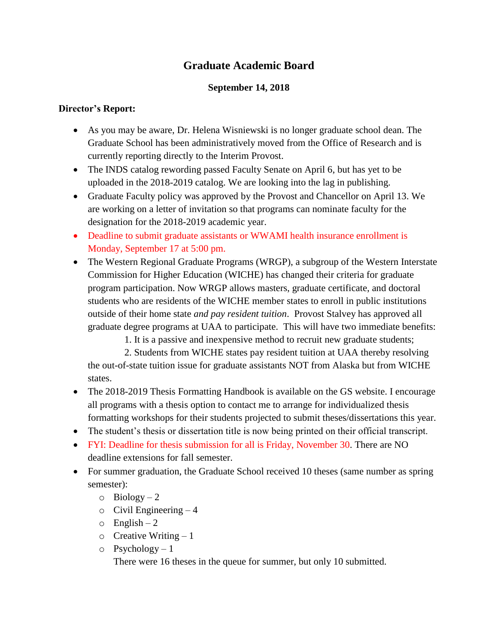## **Graduate Academic Board**

## **September 14, 2018**

## **Director's Report:**

- As you may be aware, Dr. Helena Wisniewski is no longer graduate school dean. The Graduate School has been administratively moved from the Office of Research and is currently reporting directly to the Interim Provost.
- The INDS catalog rewording passed Faculty Senate on April 6, but has yet to be uploaded in the 2018-2019 catalog. We are looking into the lag in publishing.
- Graduate Faculty policy was approved by the Provost and Chancellor on April 13. We are working on a letter of invitation so that programs can nominate faculty for the designation for the 2018-2019 academic year.
- Deadline to submit graduate assistants or WWAMI health insurance enrollment is Monday, September 17 at 5:00 pm.
- The Western Regional Graduate Programs (WRGP), a subgroup of the Western Interstate Commission for Higher Education (WICHE) has changed their criteria for graduate program participation. Now WRGP allows masters, graduate certificate, and doctoral students who are residents of the WICHE member states to enroll in public institutions outside of their home state *and pay resident tuition*. Provost Stalvey has approved all graduate degree programs at UAA to participate. This will have two immediate benefits:

1. It is a passive and inexpensive method to recruit new graduate students;

 2. Students from WICHE states pay resident tuition at UAA thereby resolving the out-of-state tuition issue for graduate assistants NOT from Alaska but from WICHE states.

- The 2018-2019 Thesis Formatting Handbook is available on the GS website. I encourage all programs with a thesis option to contact me to arrange for individualized thesis formatting workshops for their students projected to submit theses/dissertations this year.
- The student's thesis or dissertation title is now being printed on their official transcript.
- FYI: Deadline for thesis submission for all is Friday, November 30. There are NO deadline extensions for fall semester.
- For summer graduation, the Graduate School received 10 theses (same number as spring semester):
	- $\circ$  Biology 2
	- $\circ$  Civil Engineering  $-4$
	- $\circ$  English 2
	- $\circ$  Creative Writing 1
	- $\circ$  Psychology 1

There were 16 theses in the queue for summer, but only 10 submitted.